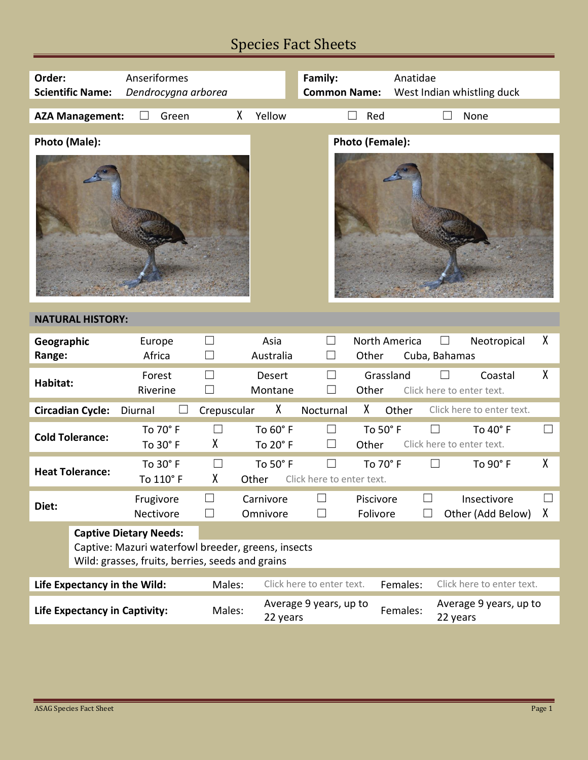# Species Fact Sheets

| Order:                                                                                                                                  | <b>Scientific Name:</b> | Anseriformes<br>Dendrocygna arborea |                      |                                    | Family:<br><b>Common Name:</b>                 | Anatidae      | West Indian whistling duck            |   |  |  |
|-----------------------------------------------------------------------------------------------------------------------------------------|-------------------------|-------------------------------------|----------------------|------------------------------------|------------------------------------------------|---------------|---------------------------------------|---|--|--|
|                                                                                                                                         | <b>AZA Management:</b>  | Green                               | χ                    | Yellow                             | $\Box$<br>Red                                  |               | None                                  |   |  |  |
| Photo (Male):                                                                                                                           |                         |                                     |                      |                                    | <b>Photo (Female):</b>                         |               |                                       |   |  |  |
| <b>NATURAL HISTORY:</b>                                                                                                                 |                         |                                     |                      |                                    |                                                |               |                                       |   |  |  |
| Geographic<br>Range:                                                                                                                    |                         | Europe<br>Africa                    |                      | Asia<br>Australia                  | $\Box$<br>Other<br>$\Box$                      | North America | Neotropical<br>Cuba, Bahamas          | χ |  |  |
| Habitat:                                                                                                                                |                         | Forest<br>Riverine                  |                      | Desert<br>Montane                  | $\Box$<br>Other<br>⊔                           | Grassland     | Coastal<br>Click here to enter text.  | χ |  |  |
| χ<br>χ<br><b>Circadian Cycle:</b><br>Crepuscular<br>Nocturnal<br>Other<br>Click here to enter text.<br>Diurnal                          |                         |                                     |                      |                                    |                                                |               |                                       |   |  |  |
| <b>Cold Tolerance:</b>                                                                                                                  |                         | To 70° F<br>To 30° F                | П<br>χ               | To 60° F<br>To 20° F               | $\Box$<br>$\Box$<br>Other                      | To 50° F      | To 40° F<br>Click here to enter text. |   |  |  |
| <b>Heat Tolerance:</b>                                                                                                                  |                         | To 30° F<br>To 110° F               | $\Box$<br>χ<br>Other | To 50° F                           | $\vert \ \ \vert$<br>Click here to enter text. | To 70° F      | To 90° F                              | χ |  |  |
| Diet:                                                                                                                                   |                         | Frugivore<br>Nectivore              | $\Box$               | Carnivore<br>Omnivore              | Piscivore<br>Folivore                          |               | Insectivore<br>Other (Add Below)      | χ |  |  |
| <b>Captive Dietary Needs:</b><br>Captive: Mazuri waterfowl breeder, greens, insects<br>Wild: grasses, fruits, berries, seeds and grains |                         |                                     |                      |                                    |                                                |               |                                       |   |  |  |
| Life Expectancy in the Wild:                                                                                                            |                         |                                     | Males:               | Click here to enter text.          |                                                | Females:      | Click here to enter text.             |   |  |  |
| <b>Life Expectancy in Captivity:</b>                                                                                                    |                         |                                     | Males:               | Average 9 years, up to<br>22 years |                                                | Females:      | Average 9 years, up to<br>22 years    |   |  |  |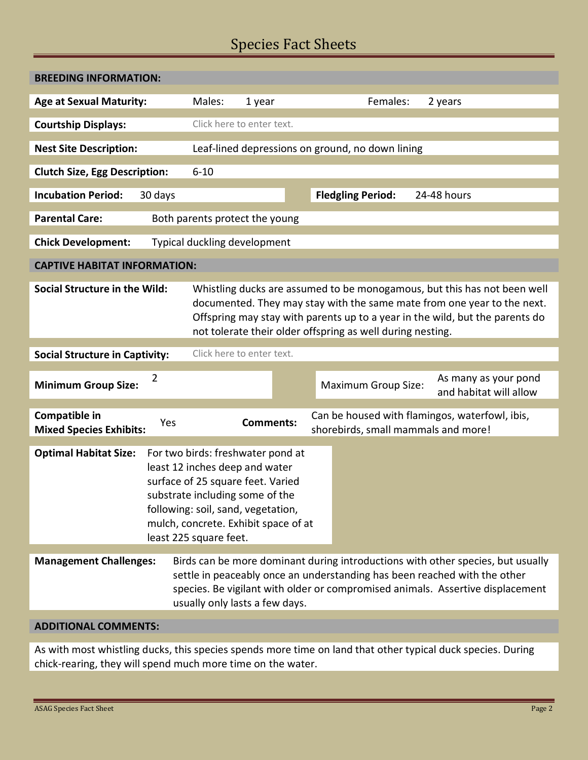## Species Fact Sheets

| <b>BREEDING INFORMATION:</b>                                                                                                                                                                                                                                                                                                              |                                                                                                                                                                                                                                                     |                                                                                                                                                                                                                                                                                  |                                     |                                                |  |  |  |  |  |  |
|-------------------------------------------------------------------------------------------------------------------------------------------------------------------------------------------------------------------------------------------------------------------------------------------------------------------------------------------|-----------------------------------------------------------------------------------------------------------------------------------------------------------------------------------------------------------------------------------------------------|----------------------------------------------------------------------------------------------------------------------------------------------------------------------------------------------------------------------------------------------------------------------------------|-------------------------------------|------------------------------------------------|--|--|--|--|--|--|
| <b>Age at Sexual Maturity:</b>                                                                                                                                                                                                                                                                                                            | Males:                                                                                                                                                                                                                                              | 1 year                                                                                                                                                                                                                                                                           | Females:                            | 2 years                                        |  |  |  |  |  |  |
| <b>Courtship Displays:</b>                                                                                                                                                                                                                                                                                                                |                                                                                                                                                                                                                                                     | Click here to enter text.                                                                                                                                                                                                                                                        |                                     |                                                |  |  |  |  |  |  |
| <b>Nest Site Description:</b>                                                                                                                                                                                                                                                                                                             |                                                                                                                                                                                                                                                     | Leaf-lined depressions on ground, no down lining                                                                                                                                                                                                                                 |                                     |                                                |  |  |  |  |  |  |
| <b>Clutch Size, Egg Description:</b>                                                                                                                                                                                                                                                                                                      | $6 - 10$                                                                                                                                                                                                                                            |                                                                                                                                                                                                                                                                                  |                                     |                                                |  |  |  |  |  |  |
| <b>Incubation Period:</b><br>30 days                                                                                                                                                                                                                                                                                                      |                                                                                                                                                                                                                                                     |                                                                                                                                                                                                                                                                                  | <b>Fledgling Period:</b>            | 24-48 hours                                    |  |  |  |  |  |  |
| <b>Parental Care:</b>                                                                                                                                                                                                                                                                                                                     | Both parents protect the young                                                                                                                                                                                                                      |                                                                                                                                                                                                                                                                                  |                                     |                                                |  |  |  |  |  |  |
| Typical duckling development<br><b>Chick Development:</b>                                                                                                                                                                                                                                                                                 |                                                                                                                                                                                                                                                     |                                                                                                                                                                                                                                                                                  |                                     |                                                |  |  |  |  |  |  |
| <b>CAPTIVE HABITAT INFORMATION:</b>                                                                                                                                                                                                                                                                                                       |                                                                                                                                                                                                                                                     |                                                                                                                                                                                                                                                                                  |                                     |                                                |  |  |  |  |  |  |
| <b>Social Structure in the Wild:</b><br>Whistling ducks are assumed to be monogamous, but this has not been well<br>documented. They may stay with the same mate from one year to the next.<br>Offspring may stay with parents up to a year in the wild, but the parents do<br>not tolerate their older offspring as well during nesting. |                                                                                                                                                                                                                                                     |                                                                                                                                                                                                                                                                                  |                                     |                                                |  |  |  |  |  |  |
| Click here to enter text.<br><b>Social Structure in Captivity:</b>                                                                                                                                                                                                                                                                        |                                                                                                                                                                                                                                                     |                                                                                                                                                                                                                                                                                  |                                     |                                                |  |  |  |  |  |  |
| 2<br><b>Minimum Group Size:</b>                                                                                                                                                                                                                                                                                                           |                                                                                                                                                                                                                                                     |                                                                                                                                                                                                                                                                                  | <b>Maximum Group Size:</b>          | As many as your pond<br>and habitat will allow |  |  |  |  |  |  |
| Compatible in<br>Yes<br><b>Mixed Species Exhibits:</b>                                                                                                                                                                                                                                                                                    |                                                                                                                                                                                                                                                     | <b>Comments:</b>                                                                                                                                                                                                                                                                 | shorebirds, small mammals and more! | Can be housed with flamingos, waterfowl, ibis, |  |  |  |  |  |  |
| <b>Optimal Habitat Size:</b>                                                                                                                                                                                                                                                                                                              | For two birds: freshwater pond at<br>least 12 inches deep and water<br>surface of 25 square feet. Varied<br>substrate including some of the<br>following: soil, sand, vegetation,<br>mulch, concrete. Exhibit space of at<br>least 225 square feet. |                                                                                                                                                                                                                                                                                  |                                     |                                                |  |  |  |  |  |  |
| <b>Management Challenges:</b>                                                                                                                                                                                                                                                                                                             |                                                                                                                                                                                                                                                     | Birds can be more dominant during introductions with other species, but usually<br>settle in peaceably once an understanding has been reached with the other<br>species. Be vigilant with older or compromised animals. Assertive displacement<br>usually only lasts a few days. |                                     |                                                |  |  |  |  |  |  |
| <b>ADDITIONAL COMMENTS:</b>                                                                                                                                                                                                                                                                                                               |                                                                                                                                                                                                                                                     |                                                                                                                                                                                                                                                                                  |                                     |                                                |  |  |  |  |  |  |

As with most whistling ducks, this species spends more time on land that other typical duck species. During chick-rearing, they will spend much more time on the water.